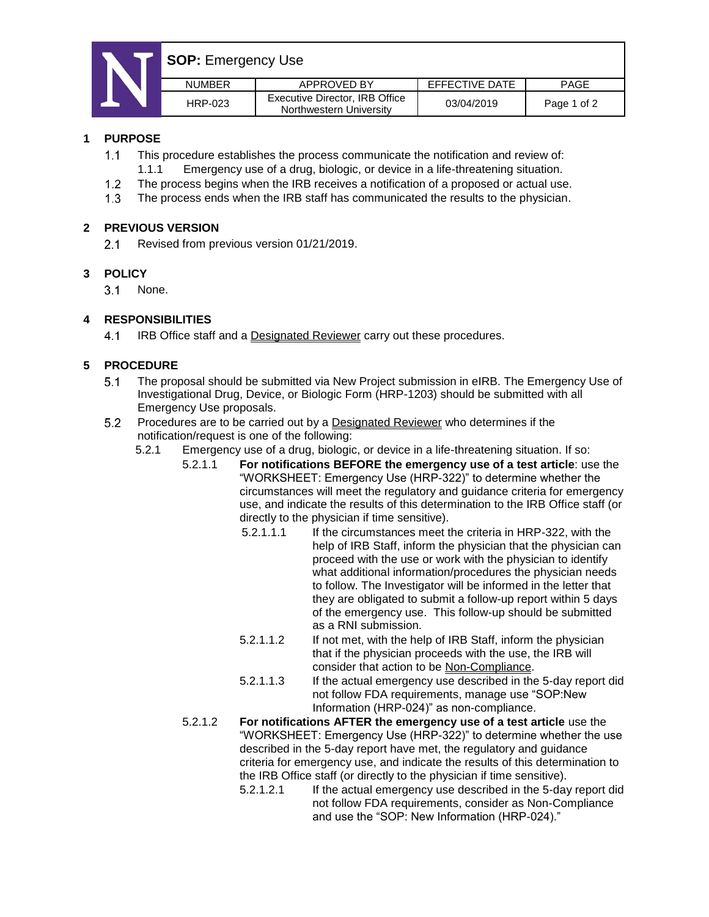# **SOP: Emergency Use**

| <b>NUMBER</b> | APPROVED BY                                               | EFFECTIVE DATE | <b>PAGE</b> |  |  |
|---------------|-----------------------------------------------------------|----------------|-------------|--|--|
| HRP-023       | Executive Director, IRB Office<br>Northwestern University | 03/04/2019     | Page 1 of 2 |  |  |
|               |                                                           |                |             |  |  |

### **1 PURPOSE**

- $1.1<sub>1</sub>$ This procedure establishes the process communicate the notification and review of:
	- 1.1.1 Emergency use of a drug, biologic, or device in a life-threatening situation.
- $1.2$ The process begins when the IRB receives a notification of a proposed or actual use.
- $1.3$ The process ends when the IRB staff has communicated the results to the physician.

### **2 PREVIOUS VERSION**

 $2.1$ Revised from previous version 01/21/2019.

## **3 POLICY**

3.1 None.

# **4 RESPONSIBILITIES**

 $4.1$ IRB Office staff and a Designated Reviewer carry out these procedures.

# **5 PROCEDURE**

- $5.1$ The proposal should be submitted via New Project submission in eIRB. The Emergency Use of Investigational Drug, Device, or Biologic Form (HRP-1203) should be submitted with all Emergency Use proposals.
- $5.2$ Procedures are to be carried out by a Designated Reviewer who determines if the notification/request is one of the following:
	- 5.2.1 Emergency use of a drug, biologic, or device in a life-threatening situation. If so:
		- 5.2.1.1 **For notifications BEFORE the emergency use of a test article**: use the "WORKSHEET: Emergency Use (HRP-322)" to determine whether the circumstances will meet the regulatory and guidance criteria for emergency use, and indicate the results of this determination to the IRB Office staff (or directly to the physician if time sensitive).
			- 5.2.1.1.1 If the circumstances meet the criteria in HRP-322, with the help of IRB Staff, inform the physician that the physician can proceed with the use or work with the physician to identify what additional information/procedures the physician needs to follow. The Investigator will be informed in the letter that they are obligated to submit a follow-up report within 5 days of the emergency use. This follow-up should be submitted as a RNI submission.
			- 5.2.1.1.2 If not met, with the help of IRB Staff, inform the physician that if the physician proceeds with the use, the IRB will consider that action to be Non-Compliance.
			- 5.2.1.1.3 If the actual emergency use described in the 5-day report did not follow FDA requirements, manage use "SOP:New Information (HRP-024)" as non-compliance.
		- 5.2.1.2 **For notifications AFTER the emergency use of a test article** use the "WORKSHEET: Emergency Use (HRP-322)" to determine whether the use described in the 5-day report have met, the regulatory and guidance criteria for emergency use, and indicate the results of this determination to the IRB Office staff (or directly to the physician if time sensitive).
			- 5.2.1.2.1 If the actual emergency use described in the 5-day report did not follow FDA requirements, consider as Non-Compliance and use the "SOP: New Information (HRP-024)."